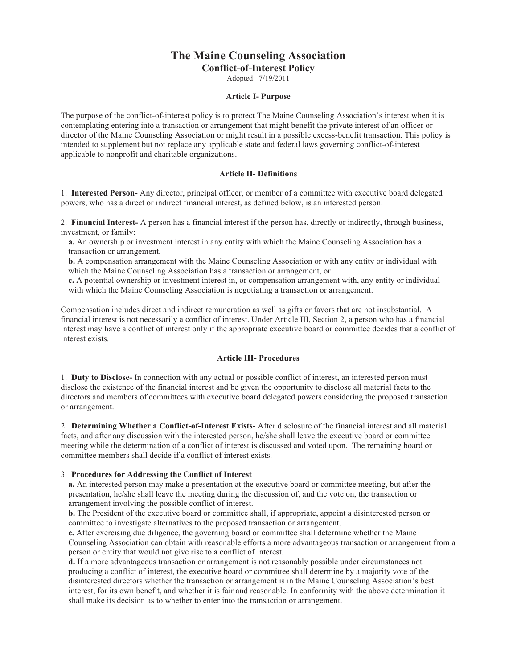# **The Maine Counseling Association**

**Conflict-of-Interest Policy**

Adopted: 7/19/2011

## **Article I- Purpose**

The purpose of the conflict-of-interest policy is to protect The Maine Counseling Association's interest when it is contemplating entering into a transaction or arrangement that might benefit the private interest of an officer or director of the Maine Counseling Association or might result in a possible excess-benefit transaction. This policy is intended to supplement but not replace any applicable state and federal laws governing conflict-of-interest applicable to nonprofit and charitable organizations.

## **Article II- Definitions**

1. **Interested Person-** Any director, principal officer, or member of a committee with executive board delegated powers, who has a direct or indirect financial interest, as defined below, is an interested person.

2. **Financial Interest-** A person has a financial interest if the person has, directly or indirectly, through business, investment, or family:

**a.** An ownership or investment interest in any entity with which the Maine Counseling Association has a transaction or arrangement,

**b.** A compensation arrangement with the Maine Counseling Association or with any entity or individual with which the Maine Counseling Association has a transaction or arrangement, or

**c.** A potential ownership or investment interest in, or compensation arrangement with, any entity or individual with which the Maine Counseling Association is negotiating a transaction or arrangement.

Compensation includes direct and indirect remuneration as well as gifts or favors that are not insubstantial. A financial interest is not necessarily a conflict of interest. Under Article III, Section 2, a person who has a financial interest may have a conflict of interest only if the appropriate executive board or committee decides that a conflict of interest exists.

## **Article III- Procedures**

1. **Duty to Disclose-** In connection with any actual or possible conflict of interest, an interested person must disclose the existence of the financial interest and be given the opportunity to disclose all material facts to the directors and members of committees with executive board delegated powers considering the proposed transaction or arrangement.

2. **Determining Whether a Conflict-of-Interest Exists-** After disclosure of the financial interest and all material facts, and after any discussion with the interested person, he/she shall leave the executive board or committee meeting while the determination of a conflict of interest is discussed and voted upon. The remaining board or committee members shall decide if a conflict of interest exists.

#### 3. **Procedures for Addressing the Conflict of Interest**

**a.** An interested person may make a presentation at the executive board or committee meeting, but after the presentation, he/she shall leave the meeting during the discussion of, and the vote on, the transaction or arrangement involving the possible conflict of interest.

**b.** The President of the executive board or committee shall, if appropriate, appoint a disinterested person or committee to investigate alternatives to the proposed transaction or arrangement.

**c.** After exercising due diligence, the governing board or committee shall determine whether the Maine Counseling Association can obtain with reasonable efforts a more advantageous transaction or arrangement from a person or entity that would not give rise to a conflict of interest.

**d.** If a more advantageous transaction or arrangement is not reasonably possible under circumstances not producing a conflict of interest, the executive board or committee shall determine by a majority vote of the disinterested directors whether the transaction or arrangement is in the Maine Counseling Association's best interest, for its own benefit, and whether it is fair and reasonable. In conformity with the above determination it shall make its decision as to whether to enter into the transaction or arrangement.